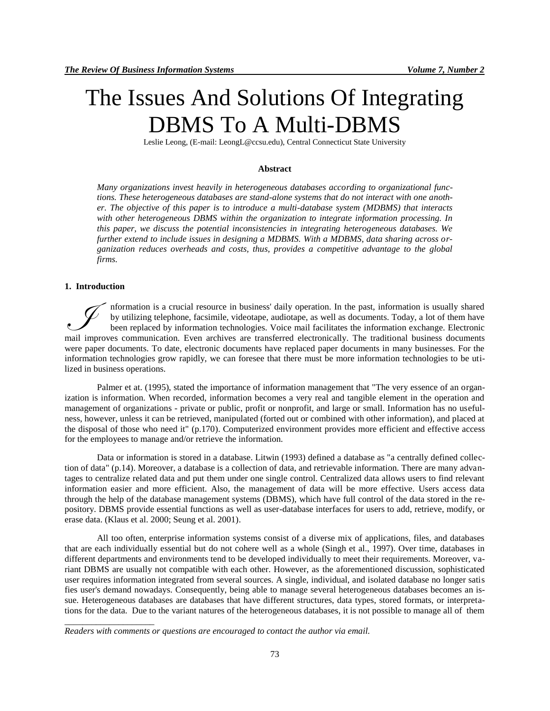# The Issues And Solutions Of Integrating DBMS To A Multi-DBMS

Leslie Leong, (E-mail: [LeongL@ccsu.edu\)](mailto:LeongL@ccsu.edu), Central Connecticut State University

# **Abstract**

*Many organizations invest heavily in heterogeneous databases according to organizational functions. These heterogeneous databases are stand-alone systems that do not interact with one another. The objective of this paper is to introduce a multi-database system (MDBMS) that interacts with other heterogeneous DBMS within the organization to integrate information processing. In this paper, we discuss the potential inconsistencies in integrating heterogeneous databases. We further extend to include issues in designing a MDBMS. With a MDBMS, data sharing across organization reduces overheads and costs, thus, provides a competitive advantage to the global firms.* 

# **1. Introduction**

\_\_\_\_\_\_\_\_\_\_\_\_\_\_\_\_\_\_\_\_

nformation is a crucial resource in business' daily operation. In the past, information is usually shared by utilizing telephone, facsimile, videotape, audiotape, as well as documents. Today, a lot of them have been replaced by information technologies. Voice mail facilitates the information exchange. Electronic mformation is a crucial resource in business' daily operation. In the past, information is usually shared<br>by utilizing telephone, facsimile, videotape, audiotape, as well as documents. Today, a lot of them have<br>been replac were paper documents. To date, electronic documents have replaced paper documents in many businesses. For the information technologies grow rapidly, we can foresee that there must be more information technologies to be utilized in business operations.

Palmer et at. (1995), stated the importance of information management that "The very essence of an organization is information. When recorded, information becomes a very real and tangible element in the operation and management of organizations - private or public, profit or nonprofit, and large or small. Information has no usefulness, however, unless it can be retrieved, manipulated (forted out or combined with other information), and placed at the disposal of those who need it" (p.170). Computerized environment provides more efficient and effective access for the employees to manage and/or retrieve the information.

Data or information is stored in a database. Litwin (1993) defined a database as "a centrally defined collection of data" (p.14). Moreover, a database is a collection of data, and retrievable information. There are many advantages to centralize related data and put them under one single control. Centralized data allows users to find relevant information easier and more efficient. Also, the management of data will be more effective. Users access data through the help of the database management systems (DBMS), which have full control of the data stored in the repository. DBMS provide essential functions as well as user-database interfaces for users to add, retrieve, modify, or erase data. (Klaus et al. 2000; Seung et al. 2001).

All too often, enterprise information systems consist of a diverse mix of applications, files, and databases that are each individually essential but do not cohere well as a whole (Singh et al., 1997). Over time, databases in different departments and environments tend to be developed individually to meet their requirements. Moreover, variant DBMS are usually not compatible with each other. However, as the aforementioned discussion, sophisticated user requires information integrated from several sources. A single, individual, and isolated database no longer satis fies user's demand nowadays. Consequently, being able to manage several heterogeneous databases becomes an issue. Heterogeneous databases are databases that have different structures, data types, stored formats, or interpretations for the data. Due to the variant natures of the heterogeneous databases, it is not possible to manage all of them

*Readers with comments or questions are encouraged to contact the author via email.*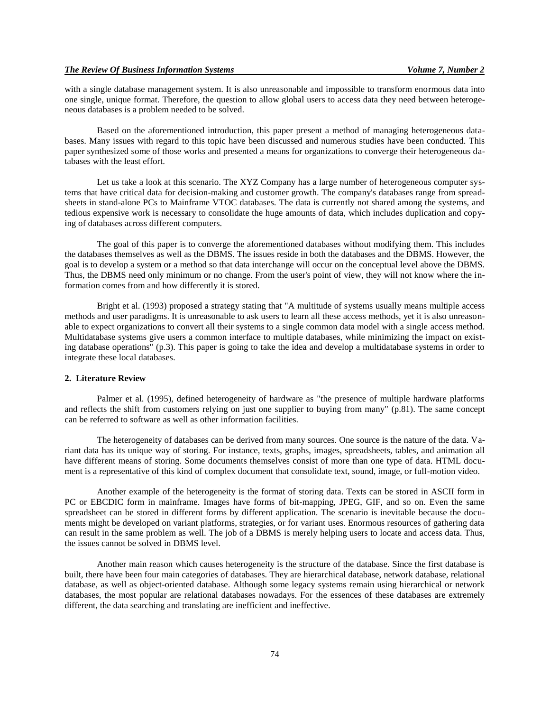with a single database management system. It is also unreasonable and impossible to transform enormous data into one single, unique format. Therefore, the question to allow global users to access data they need between heterogeneous databases is a problem needed to be solved.

Based on the aforementioned introduction, this paper present a method of managing heterogeneous databases. Many issues with regard to this topic have been discussed and numerous studies have been conducted. This paper synthesized some of those works and presented a means for organizations to converge their heterogeneous databases with the least effort.

Let us take a look at this scenario. The XYZ Company has a large number of heterogeneous computer systems that have critical data for decision-making and customer growth. The company's databases range from spreadsheets in stand-alone PCs to Mainframe VTOC databases. The data is currently not shared among the systems, and tedious expensive work is necessary to consolidate the huge amounts of data, which includes duplication and copying of databases across different computers.

The goal of this paper is to converge the aforementioned databases without modifying them. This includes the databases themselves as well as the DBMS. The issues reside in both the databases and the DBMS. However, the goal is to develop a system or a method so that data interchange will occur on the conceptual level above the DBMS. Thus, the DBMS need only minimum or no change. From the user's point of view, they will not know where the information comes from and how differently it is stored.

Bright et al. (1993) proposed a strategy stating that "A multitude of systems usually means multiple access methods and user paradigms. It is unreasonable to ask users to learn all these access methods, yet it is also unreasonable to expect organizations to convert all their systems to a single common data model with a single access method. Multidatabase systems give users a common interface to multiple databases, while minimizing the impact on existing database operations" (p.3). This paper is going to take the idea and develop a multidatabase systems in order to integrate these local databases.

# **2. Literature Review**

Palmer et al. (1995), defined heterogeneity of hardware as "the presence of multiple hardware platforms and reflects the shift from customers relying on just one supplier to buying from many" (p.81). The same concept can be referred to software as well as other information facilities.

The heterogeneity of databases can be derived from many sources. One source is the nature of the data. Variant data has its unique way of storing. For instance, texts, graphs, images, spreadsheets, tables, and animation all have different means of storing. Some documents themselves consist of more than one type of data. HTML document is a representative of this kind of complex document that consolidate text, sound, image, or full-motion video.

Another example of the heterogeneity is the format of storing data. Texts can be stored in ASCII form in PC or EBCDIC form in mainframe. Images have forms of bit-mapping, JPEG, GIF, and so on. Even the same spreadsheet can be stored in different forms by different application. The scenario is inevitable because the documents might be developed on variant platforms, strategies, or for variant uses. Enormous resources of gathering data can result in the same problem as well. The job of a DBMS is merely helping users to locate and access data. Thus, the issues cannot be solved in DBMS level.

Another main reason which causes heterogeneity is the structure of the database. Since the first database is built, there have been four main categories of databases. They are hierarchical database, network database, relational database, as well as object-oriented database. Although some legacy systems remain using hierarchical or network databases, the most popular are relational databases nowadays. For the essences of these databases are extremely different, the data searching and translating are inefficient and ineffective.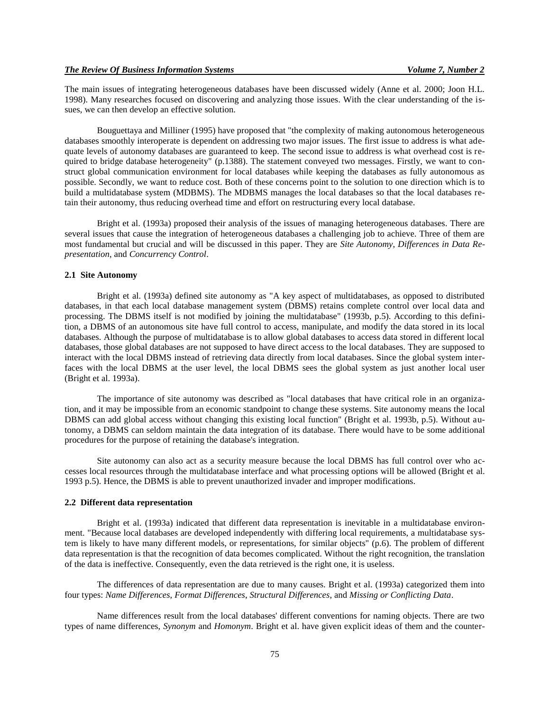The main issues of integrating heterogeneous databases have been discussed widely (Anne et al. 2000; Joon H.L. 1998). Many researches focused on discovering and analyzing those issues. With the clear understanding of the issues, we can then develop an effective solution.

Bouguettaya and Milliner (1995) have proposed that "the complexity of making autonomous heterogeneous databases smoothly interoperate is dependent on addressing two major issues. The first issue to address is what adequate levels of autonomy databases are guaranteed to keep. The second issue to address is what overhead cost is required to bridge database heterogeneity" (p.1388). The statement conveyed two messages. Firstly, we want to construct global communication environment for local databases while keeping the databases as fully autonomous as possible. Secondly, we want to reduce cost. Both of these concerns point to the solution to one direction which is to build a multidatabase system (MDBMS). The MDBMS manages the local databases so that the local databases retain their autonomy, thus reducing overhead time and effort on restructuring every local database.

Bright et al. (1993a) proposed their analysis of the issues of managing heterogeneous databases. There are several issues that cause the integration of heterogeneous databases a challenging job to achieve. Three of them are most fundamental but crucial and will be discussed in this paper. They are *Site Autonomy*, *Differences in Data Representation*, and *Concurrency Control*.

## **2.1 Site Autonomy**

Bright et al. (1993a) defined site autonomy as "A key aspect of multidatabases, as opposed to distributed databases, in that each local database management system (DBMS) retains complete control over local data and processing. The DBMS itself is not modified by joining the multidatabase" (1993b, p.5). According to this definition, a DBMS of an autonomous site have full control to access, manipulate, and modify the data stored in its local databases. Although the purpose of multidatabase is to allow global databases to access data stored in different local databases, those global databases are not supposed to have direct access to the local databases. They are supposed to interact with the local DBMS instead of retrieving data directly from local databases. Since the global system interfaces with the local DBMS at the user level, the local DBMS sees the global system as just another local user (Bright et al. 1993a).

The importance of site autonomy was described as "local databases that have critical role in an organization, and it may be impossible from an economic standpoint to change these systems. Site autonomy means the local DBMS can add global access without changing this existing local function" (Bright et al. 1993b, p.5). Without autonomy, a DBMS can seldom maintain the data integration of its database. There would have to be some additional procedures for the purpose of retaining the database's integration.

Site autonomy can also act as a security measure because the local DBMS has full control over who accesses local resources through the multidatabase interface and what processing options will be allowed (Bright et al. 1993 p.5). Hence, the DBMS is able to prevent unauthorized invader and improper modifications.

# **2.2 Different data representation**

Bright et al. (1993a) indicated that different data representation is inevitable in a multidatabase environment. "Because local databases are developed independently with differing local requirements, a multidatabase system is likely to have many different models, or representations, for similar objects" (p.6). The problem of different data representation is that the recognition of data becomes complicated. Without the right recognition, the translation of the data is ineffective. Consequently, even the data retrieved is the right one, it is useless.

The differences of data representation are due to many causes. Bright et al. (1993a) categorized them into four types: *Name Differences*, *Format Differences*, *Structural Differences*, and *Missing or Conflicting Data*.

Name differences result from the local databases' different conventions for naming objects. There are two types of name differences, *Synonym* and *Homonym*. Bright et al. have given explicit ideas of them and the counter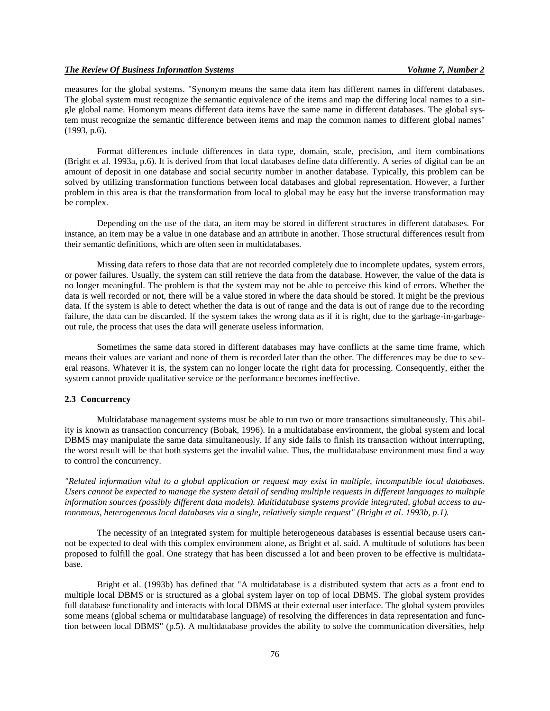measures for the global systems. "Synonym means the same data item has different names in different databases. The global system must recognize the semantic equivalence of the items and map the differing local names to a single global name. Homonym means different data items have the same name in different databases. The global system must recognize the semantic difference between items and map the common names to different global names" (1993, p.6).

Format differences include differences in data type, domain, scale, precision, and item combinations (Bright et al. 1993a, p.6). It is derived from that local databases define data differently. A series of digital can be an amount of deposit in one database and social security number in another database. Typically, this problem can be solved by utilizing transformation functions between local databases and global representation. However, a further problem in this area is that the transformation from local to global may be easy but the inverse transformation may be complex.

Depending on the use of the data, an item may be stored in different structures in different databases. For instance, an item may be a value in one database and an attribute in another. Those structural differences result from their semantic definitions, which are often seen in multidatabases.

Missing data refers to those data that are not recorded completely due to incomplete updates, system errors, or power failures. Usually, the system can still retrieve the data from the database. However, the value of the data is no longer meaningful. The problem is that the system may not be able to perceive this kind of errors. Whether the data is well recorded or not, there will be a value stored in where the data should be stored. It might be the previous data. If the system is able to detect whether the data is out of range and the data is out of range due to the recording failure, the data can be discarded. If the system takes the wrong data as if it is right, due to the garbage-in-garbageout rule, the process that uses the data will generate useless information.

Sometimes the same data stored in different databases may have conflicts at the same time frame, which means their values are variant and none of them is recorded later than the other. The differences may be due to several reasons. Whatever it is, the system can no longer locate the right data for processing. Consequently, either the system cannot provide qualitative service or the performance becomes ineffective.

# **2.3 Concurrency**

Multidatabase management systems must be able to run two or more transactions simultaneously. This ability is known as transaction concurrency (Bobak, 1996). In a multidatabase environment, the global system and local DBMS may manipulate the same data simultaneously. If any side fails to finish its transaction without interrupting, the worst result will be that both systems get the invalid value. Thus, the multidatabase environment must find a way to control the concurrency.

*"Related information vital to a global application or request may exist in multiple, incompatible local databases. Users cannot be expected to manage the system detail of sending multiple requests in different languages to multiple information sources (possibly different data models). Multidatabase systems provide integrated, global access to autonomous, heterogeneous local databases via a single, relatively simple request" (Bright et al. 1993b, p.1).*

The necessity of an integrated system for multiple heterogeneous databases is essential because users cannot be expected to deal with this complex environment alone, as Bright et al. said. A multitude of solutions has been proposed to fulfill the goal. One strategy that has been discussed a lot and been proven to be effective is multidatabase.

Bright et al. (1993b) has defined that "A multidatabase is a distributed system that acts as a front end to multiple local DBMS or is structured as a global system layer on top of local DBMS. The global system provides full database functionality and interacts with local DBMS at their external user interface. The global system provides some means (global schema or multidatabase language) of resolving the differences in data representation and function between local DBMS" (p.5). A multidatabase provides the ability to solve the communication diversities, help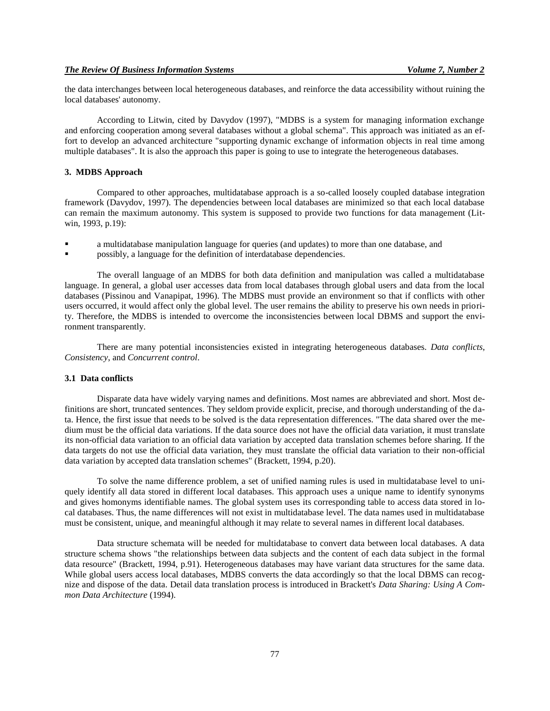the data interchanges between local heterogeneous databases, and reinforce the data accessibility without ruining the local databases' autonomy.

According to Litwin, cited by Davydov (1997), "MDBS is a system for managing information exchange and enforcing cooperation among several databases without a global schema". This approach was initiated as an effort to develop an advanced architecture "supporting dynamic exchange of information objects in real time among multiple databases". It is also the approach this paper is going to use to integrate the heterogeneous databases.

# **3. MDBS Approach**

Compared to other approaches, multidatabase approach is a so-called loosely coupled database integration framework (Davydov, 1997). The dependencies between local databases are minimized so that each local database can remain the maximum autonomy. This system is supposed to provide two functions for data management (Litwin, 1993, p.19):

- a multidatabase manipulation language for queries (and updates) to more than one database, and
- possibly, a language for the definition of interdatabase dependencies.

The overall language of an MDBS for both data definition and manipulation was called a multidatabase language. In general, a global user accesses data from local databases through global users and data from the local databases (Pissinou and Vanapipat, 1996). The MDBS must provide an environment so that if conflicts with other users occurred, it would affect only the global level. The user remains the ability to preserve his own needs in priority. Therefore, the MDBS is intended to overcome the inconsistencies between local DBMS and support the environment transparently.

There are many potential inconsistencies existed in integrating heterogeneous databases. *Data conflicts*, *Consistency*, and *Concurrent control*.

# **3.1 Data conflicts**

Disparate data have widely varying names and definitions. Most names are abbreviated and short. Most definitions are short, truncated sentences. They seldom provide explicit, precise, and thorough understanding of the data. Hence, the first issue that needs to be solved is the data representation differences. "The data shared over the medium must be the official data variations. If the data source does not have the official data variation, it must translate its non-official data variation to an official data variation by accepted data translation schemes before sharing. If the data targets do not use the official data variation, they must translate the official data variation to their non-official data variation by accepted data translation schemes" (Brackett, 1994, p.20).

To solve the name difference problem, a set of unified naming rules is used in multidatabase level to uniquely identify all data stored in different local databases. This approach uses a unique name to identify synonyms and gives homonyms identifiable names. The global system uses its corresponding table to access data stored in local databases. Thus, the name differences will not exist in multidatabase level. The data names used in multidatabase must be consistent, unique, and meaningful although it may relate to several names in different local databases.

Data structure schemata will be needed for multidatabase to convert data between local databases. A data structure schema shows "the relationships between data subjects and the content of each data subject in the formal data resource" (Brackett, 1994, p.91). Heterogeneous databases may have variant data structures for the same data. While global users access local databases, MDBS converts the data accordingly so that the local DBMS can recognize and dispose of the data. Detail data translation process is introduced in Brackett's *Data Sharing: Using A Common Data Architecture* (1994).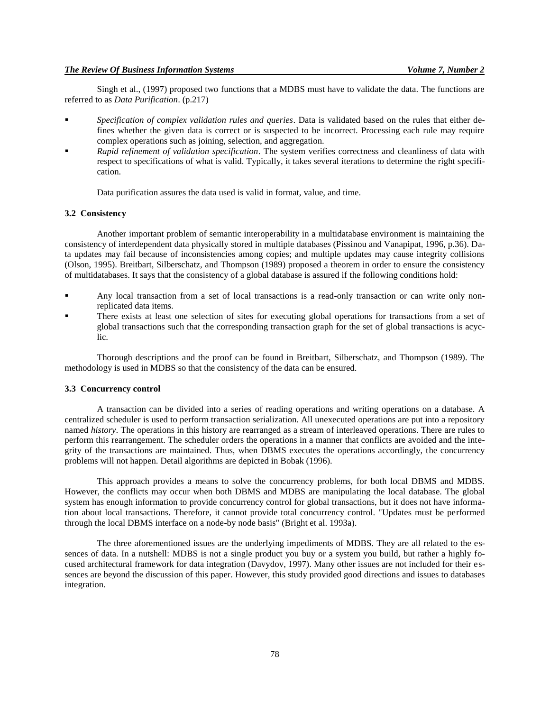Singh et al., (1997) proposed two functions that a MDBS must have to validate the data. The functions are referred to as *Data Purification*. (p.217)

- *Specification of complex validation rules and queries*. Data is validated based on the rules that either defines whether the given data is correct or is suspected to be incorrect. Processing each rule may require complex operations such as joining, selection, and aggregation.
- *Rapid refinement of validation specification*. The system verifies correctness and cleanliness of data with respect to specifications of what is valid. Typically, it takes several iterations to determine the right specification.

Data purification assures the data used is valid in format, value, and time.

## **3.2 Consistency**

Another important problem of semantic interoperability in a multidatabase environment is maintaining the consistency of interdependent data physically stored in multiple databases (Pissinou and Vanapipat, 1996, p.36). Data updates may fail because of inconsistencies among copies; and multiple updates may cause integrity collisions (Olson, 1995). Breitbart, Silberschatz, and Thompson (1989) proposed a theorem in order to ensure the consistency of multidatabases. It says that the consistency of a global database is assured if the following conditions hold:

- Any local transaction from a set of local transactions is a read-only transaction or can write only nonreplicated data items.
- There exists at least one selection of sites for executing global operations for transactions from a set of global transactions such that the corresponding transaction graph for the set of global transactions is acyclic.

Thorough descriptions and the proof can be found in Breitbart, Silberschatz, and Thompson (1989). The methodology is used in MDBS so that the consistency of the data can be ensured.

#### **3.3 Concurrency control**

A transaction can be divided into a series of reading operations and writing operations on a database. A centralized scheduler is used to perform transaction serialization. All unexecuted operations are put into a repository named *history*. The operations in this history are rearranged as a stream of interleaved operations. There are rules to perform this rearrangement. The scheduler orders the operations in a manner that conflicts are avoided and the integrity of the transactions are maintained. Thus, when DBMS executes the operations accordingly, the concurrency problems will not happen. Detail algorithms are depicted in Bobak (1996).

This approach provides a means to solve the concurrency problems, for both local DBMS and MDBS. However, the conflicts may occur when both DBMS and MDBS are manipulating the local database. The global system has enough information to provide concurrency control for global transactions, but it does not have information about local transactions. Therefore, it cannot provide total concurrency control. "Updates must be performed through the local DBMS interface on a node-by node basis" (Bright et al. 1993a).

The three aforementioned issues are the underlying impediments of MDBS. They are all related to the essences of data. In a nutshell: MDBS is not a single product you buy or a system you build, but rather a highly focused architectural framework for data integration (Davydov, 1997). Many other issues are not included for their essences are beyond the discussion of this paper. However, this study provided good directions and issues to databases integration.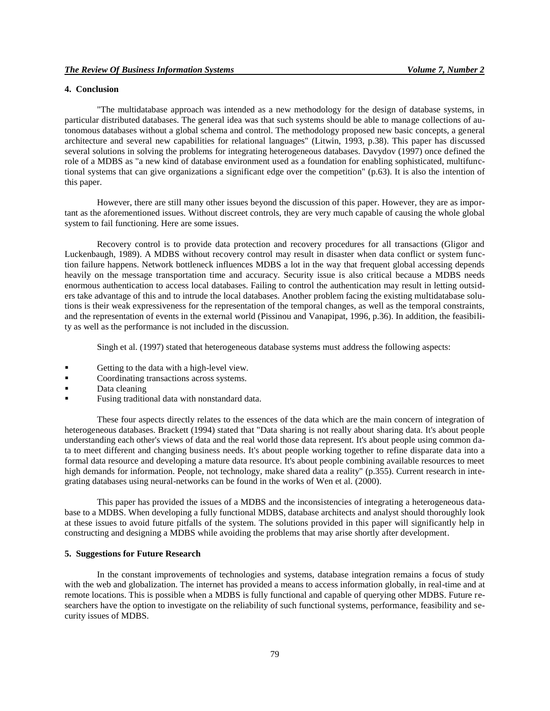# **4. Conclusion**

"The multidatabase approach was intended as a new methodology for the design of database systems, in particular distributed databases. The general idea was that such systems should be able to manage collections of autonomous databases without a global schema and control. The methodology proposed new basic concepts, a general architecture and several new capabilities for relational languages" (Litwin, 1993, p.38). This paper has discussed several solutions in solving the problems for integrating heterogeneous databases. Davydov (1997) once defined the role of a MDBS as "a new kind of database environment used as a foundation for enabling sophisticated, multifunctional systems that can give organizations a significant edge over the competition" (p.63). It is also the intention of this paper.

However, there are still many other issues beyond the discussion of this paper. However, they are as important as the aforementioned issues. Without discreet controls, they are very much capable of causing the whole global system to fail functioning. Here are some issues.

Recovery control is to provide data protection and recovery procedures for all transactions (Gligor and Luckenbaugh, 1989). A MDBS without recovery control may result in disaster when data conflict or system function failure happens. Network bottleneck influences MDBS a lot in the way that frequent global accessing depends heavily on the message transportation time and accuracy. Security issue is also critical because a MDBS needs enormous authentication to access local databases. Failing to control the authentication may result in letting outsiders take advantage of this and to intrude the local databases. Another problem facing the existing multidatabase solutions is their weak expressiveness for the representation of the temporal changes, as well as the temporal constraints, and the representation of events in the external world (Pissinou and Vanapipat, 1996, p.36). In addition, the feasibility as well as the performance is not included in the discussion.

Singh et al. (1997) stated that heterogeneous database systems must address the following aspects:

- Getting to the data with a high-level view.
- Coordinating transactions across systems.
- Data cleaning
- Fusing traditional data with nonstandard data.

These four aspects directly relates to the essences of the data which are the main concern of integration of heterogeneous databases. Brackett (1994) stated that "Data sharing is not really about sharing data. It's about people understanding each other's views of data and the real world those data represent. It's about people using common data to meet different and changing business needs. It's about people working together to refine disparate data into a formal data resource and developing a mature data resource. It's about people combining available resources to meet high demands for information. People, not technology, make shared data a reality" (p.355). Current research in integrating databases using neural-networks can be found in the works of Wen et al. (2000).

This paper has provided the issues of a MDBS and the inconsistencies of integrating a heterogeneous database to a MDBS. When developing a fully functional MDBS, database architects and analyst should thoroughly look at these issues to avoid future pitfalls of the system. The solutions provided in this paper will significantly help in constructing and designing a MDBS while avoiding the problems that may arise shortly after development.

# **5. Suggestions for Future Research**

In the constant improvements of technologies and systems, database integration remains a focus of study with the web and globalization. The internet has provided a means to access information globally, in real-time and at remote locations. This is possible when a MDBS is fully functional and capable of querying other MDBS. Future researchers have the option to investigate on the reliability of such functional systems, performance, feasibility and security issues of MDBS.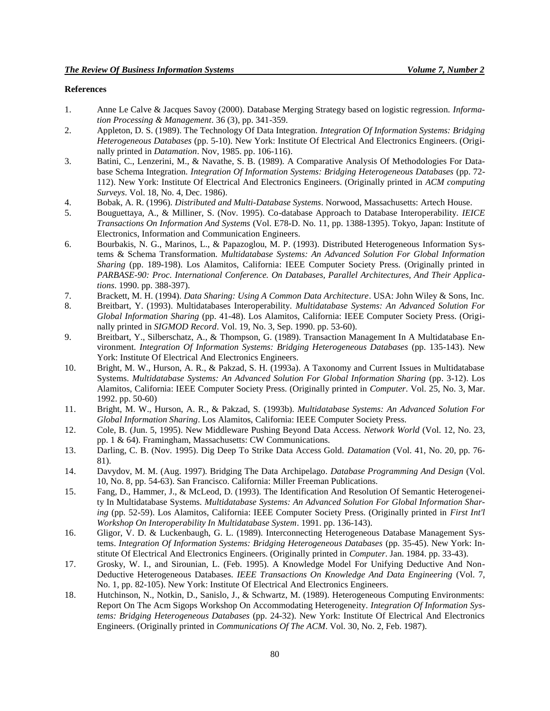# **References**

- 1. Anne Le Calve & Jacques Savoy (2000). Database Merging Strategy based on logistic regression. *Information Processing & Management*. 36 (3), pp. 341-359.
- 2. Appleton, D. S. (1989). The Technology Of Data Integration. *Integration Of Information Systems: Bridging Heterogeneous Databases* (pp. 5-10). New York: Institute Of Electrical And Electronics Engineers. (Originally printed in *Datamation*. Nov, 1985. pp. 106-116).
- 3. Batini, C., Lenzerini, M., & Navathe, S. B. (1989). A Comparative Analysis Of Methodologies For Database Schema Integration. *Integration Of Information Systems: Bridging Heterogeneous Databases* (pp. 72- 112). New York: Institute Of Electrical And Electronics Engineers. (Originally printed in *ACM computing Surveys*. Vol. 18, No. 4, Dec. 1986).
- 4. Bobak, A. R. (1996). *Distributed and Multi-Database Systems*. Norwood, Massachusetts: Artech House.
- 5. Bouguettaya, A., & Milliner, S. (Nov. 1995). Co-database Approach to Database Interoperability. *IEICE Transactions On Information And Systems* (Vol. E78-D. No. 11, pp. 1388-1395). Tokyo, Japan: Institute of Electronics, Information and Communication Engineers.
- 6. Bourbakis, N. G., Marinos, L., & Papazoglou, M. P. (1993). Distributed Heterogeneous Information Systems & Schema Transformation. *Multidatabase Systems: An Advanced Solution For Global Information Sharing* (pp. 189-198). Los Alamitos, California: IEEE Computer Society Press. (Originally printed in *PARBASE-90: Proc. International Conference. On Databases, Parallel Architectures, And Their Applications*. 1990. pp. 388-397).
- 7. Brackett, M. H. (1994). *Data Sharing: Using A Common Data Architecture*. USA: John Wiley & Sons, Inc.
- 8. Breitbart, Y. (1993). Multidatabases Interoperability. *Multidatabase Systems: An Advanced Solution For Global Information Sharing* (pp. 41-48). Los Alamitos, California: IEEE Computer Society Press. (Originally printed in *SIGMOD Record*. Vol. 19, No. 3, Sep. 1990. pp. 53-60).
- 9. Breitbart, Y., Silberschatz, A., & Thompson, G. (1989). Transaction Management In A Multidatabase Environment. *Integration Of Information Systems: Bridging Heterogeneous Databases* (pp. 135-143). New York: Institute Of Electrical And Electronics Engineers.
- 10. Bright, M. W., Hurson, A. R., & Pakzad, S. H. (1993a). A Taxonomy and Current Issues in Multidatabase Systems. *Multidatabase Systems: An Advanced Solution For Global Information Sharing* (pp. 3-12). Los Alamitos, California: IEEE Computer Society Press. (Originally printed in *Computer*. Vol. 25, No. 3, Mar. 1992. pp. 50-60)
- 11. Bright, M. W., Hurson, A. R., & Pakzad, S. (1993b). *Multidatabase Systems: An Advanced Solution For Global Information Sharing*. Los Alamitos, California: IEEE Computer Society Press.
- 12. Cole, B. (Jun. 5, 1995). New Middleware Pushing Beyond Data Access. *Network World* (Vol. 12, No. 23, pp. 1 & 64). Framingham, Massachusetts: CW Communications.
- 13. Darling, C. B. (Nov. 1995). Dig Deep To Strike Data Access Gold. *Datamation* (Vol. 41, No. 20, pp. 76- 81).
- 14. Davydov, M. M. (Aug. 1997). Bridging The Data Archipelago. *Database Programming And Design* (Vol. 10, No. 8, pp. 54-63). San Francisco. California: Miller Freeman Publications.
- 15. Fang, D., Hammer, J., & McLeod, D. (1993). The Identification And Resolution Of Semantic Heterogeneity In Multidatabase Systems. *Multidatabase Systems: An Advanced Solution For Global Information Sharing* (pp. 52-59). Los Alamitos, California: IEEE Computer Society Press. (Originally printed in *First Int'l Workshop On Interoperability In Multidatabase System*. 1991. pp. 136-143).
- 16. Gligor, V. D. & Luckenbaugh, G. L. (1989). Interconnecting Heterogeneous Database Management Systems. *Integration Of Information Systems: Bridging Heterogeneous Databases* (pp. 35-45). New York: Institute Of Electrical And Electronics Engineers. (Originally printed in *Computer*. Jan. 1984. pp. 33-43).
- 17. Grosky, W. I., and Sirounian, L. (Feb. 1995). A Knowledge Model For Unifying Deductive And Non-Deductive Heterogeneous Databases. *IEEE Transactions On Knowledge And Data Engineering* (Vol. 7, No. 1, pp. 82-105). New York: Institute Of Electrical And Electronics Engineers.
- 18. Hutchinson, N., Notkin, D., Sanislo, J., & Schwartz, M. (1989). Heterogeneous Computing Environments: Report On The Acm Sigops Workshop On Accommodating Heterogeneity. *Integration Of Information Systems: Bridging Heterogeneous Databases* (pp. 24-32). New York: Institute Of Electrical And Electronics Engineers. (Originally printed in *Communications Of The ACM*. Vol. 30, No. 2, Feb. 1987).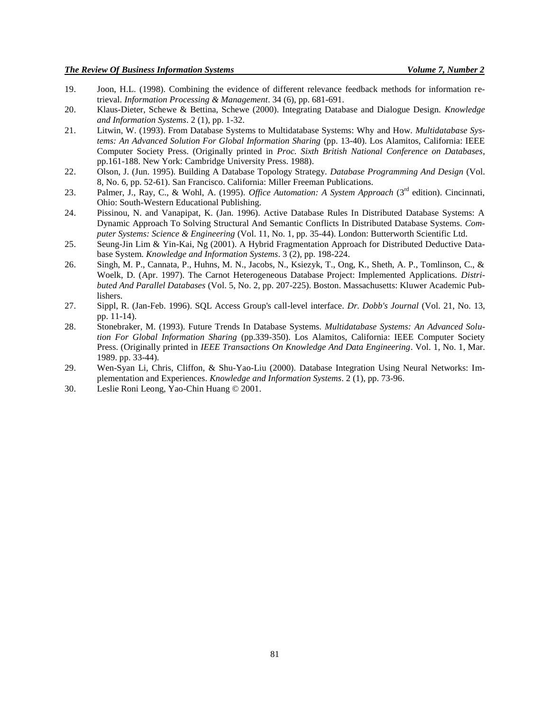- 19. Joon, H.L. (1998). Combining the evidence of different relevance feedback methods for information retrieval. *Information Processing & Management*. 34 (6), pp. 681-691.
- 20. Klaus-Dieter, Schewe & Bettina, Schewe (2000). Integrating Database and Dialogue Design. *Knowledge and Information Systems*. 2 (1), pp. 1-32.
- 21. Litwin, W. (1993). From Database Systems to Multidatabase Systems: Why and How. *Multidatabase Systems: An Advanced Solution For Global Information Sharing* (pp. 13-40). Los Alamitos, California: IEEE Computer Society Press. (Originally printed in *Proc. Sixth British National Conference on Databases*, pp.161-188. New York: Cambridge University Press. 1988).
- 22. Olson, J. (Jun. 1995). Building A Database Topology Strategy. *Database Programming And Design* (Vol. 8, No. 6, pp. 52-61). San Francisco. California: Miller Freeman Publications.
- 23. Palmer, J., Ray, C., & Wohl, A. (1995). *Office Automation: A System Approach* (3rd edition). Cincinnati, Ohio: South-Western Educational Publishing.
- 24. Pissinou, N. and Vanapipat, K. (Jan. 1996). Active Database Rules In Distributed Database Systems: A Dynamic Approach To Solving Structural And Semantic Conflicts In Distributed Database Systems. *Computer Systems: Science & Engineering* (Vol. 11, No. 1, pp. 35-44). London: Butterworth Scientific Ltd.
- 25. Seung-Jin Lim & Yin-Kai, Ng (2001). A Hybrid Fragmentation Approach for Distributed Deductive Database System. *Knowledge and Information Systems*. 3 (2), pp. 198-224.
- 26. Singh, M. P., Cannata, P., Huhns, M. N., Jacobs, N., Ksiezyk, T., Ong, K., Sheth, A. P., Tomlinson, C., & Woelk, D. (Apr. 1997). The Carnot Heterogeneous Database Project: Implemented Applications. *Distributed And Parallel Databases* (Vol. 5, No. 2, pp. 207-225). Boston. Massachusetts: Kluwer Academic Publishers.
- 27. Sippl, R. (Jan-Feb. 1996). SQL Access Group's call-level interface. *Dr. Dobb's Journal* (Vol. 21, No. 13, pp. 11-14).
- 28. Stonebraker, M. (1993). Future Trends In Database Systems. *Multidatabase Systems: An Advanced Solution For Global Information Sharing* (pp.339-350). Los Alamitos, California: IEEE Computer Society Press. (Originally printed in *IEEE Transactions On Knowledge And Data Engineering*. Vol. 1, No. 1, Mar. 1989. pp. 33-44).
- 29. Wen-Syan Li, Chris, Cliffon, & Shu-Yao-Liu (2000). Database Integration Using Neural Networks: Implementation and Experiences. *Knowledge and Information Systems*. 2 (1), pp. 73-96.
- 30. Leslie Roni Leong, Yao-Chin Huang © 2001.